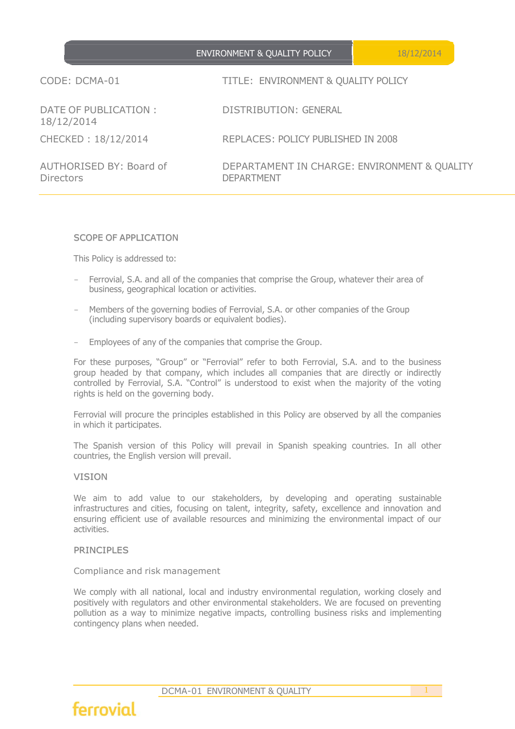|                                             | <b>ENVIRONMENT &amp; QUALITY POLICY</b>                           | 18/12/2014                         |  |
|---------------------------------------------|-------------------------------------------------------------------|------------------------------------|--|
| CODE: DCMA-01                               | TITLE: ENVIRONMENT & QUALITY POLICY                               |                                    |  |
| DATE OF PUBLICATION:<br>18/12/2014          | DISTRIBUTION: GENERAL                                             |                                    |  |
| CHECKED: 18/12/2014                         |                                                                   | REPLACES: POLICY PUBLISHED IN 2008 |  |
| AUTHORISED BY: Board of<br><b>Directors</b> | DEPARTAMENT IN CHARGE: ENVIRONMENT & QUALITY<br><b>DEPARTMENT</b> |                                    |  |

## SCOPE OF APPLICATION

This Policy is addressed to:

- Ferrovial, S.A. and all of the companies that comprise the Group, whatever their area of business, geographical location or activities.
- Members of the governing bodies of Ferrovial, S.A. or other companies of the Group (including supervisory boards or equivalent bodies).
- Employees of any of the companies that comprise the Group.

For these purposes, "Group" or "Ferrovial" refer to both Ferrovial, S.A. and to the business group headed by that company, which includes all companies that are directly or indirectly controlled by Ferrovial, S.A. "Control" is understood to exist when the majority of the voting rights is held on the governing body.

Ferrovial will procure the principles established in this Policy are observed by all the companies in which it participates.

The Spanish version of this Policy will prevail in Spanish speaking countries. In all other countries, the English version will prevail.

## VISION

We aim to add value to our stakeholders, by developing and operating sustainable infrastructures and cities, focusing on talent, integrity, safety, excellence and innovation and ensuring efficient use of available resources and minimizing the environmental impact of our activities.

# PRINCIPLES

ferrovial

Compliance and risk management

We comply with all national, local and industry environmental regulation, working closely and positively with regulators and other environmental stakeholders. We are focused on preventing pollution as a way to minimize negative impacts, controlling business risks and implementing contingency plans when needed.